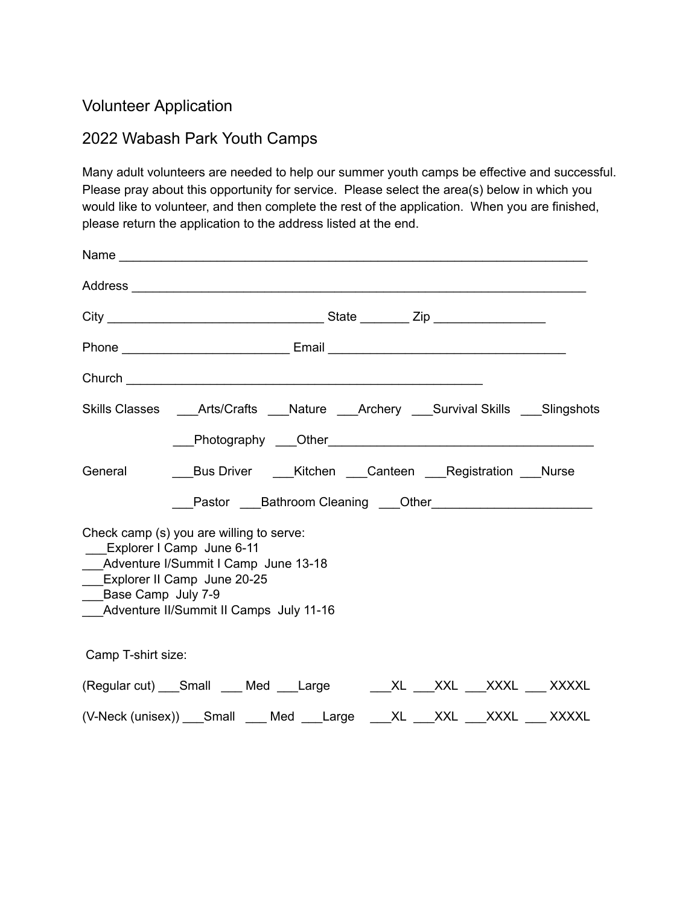## Volunteer Application

## 2022 Wabash Park Youth Camps

Many adult volunteers are needed to help our summer youth camps be effective and successful. Please pray about this opportunity for service. Please select the area(s) below in which you would like to volunteer, and then complete the rest of the application. When you are finished, please return the application to the address listed at the end.

|                                                                                                                                                                                       | Phone _________________________________Email ___________________________________                                                                            |  |  |  |  |  |  |
|---------------------------------------------------------------------------------------------------------------------------------------------------------------------------------------|-------------------------------------------------------------------------------------------------------------------------------------------------------------|--|--|--|--|--|--|
| Church <b>Church Church Church Church Church Church Church Church Church Church Church Church Church Church Church Church Church Church Church Church Church Church Church Church</b> |                                                                                                                                                             |  |  |  |  |  |  |
|                                                                                                                                                                                       | Skills Classes ______ Arts/Crafts _____ Nature ______Archery _____ Survival Skills _____ Slingshots                                                         |  |  |  |  |  |  |
|                                                                                                                                                                                       |                                                                                                                                                             |  |  |  |  |  |  |
| General                                                                                                                                                                               | Bus Driver ____ Kitchen ____ Canteen ____ Registration ____ Nurse                                                                                           |  |  |  |  |  |  |
|                                                                                                                                                                                       | Pastor ____Bathroom Cleaning ____Other____________________________                                                                                          |  |  |  |  |  |  |
| <b>Explorer II Camp June 20-25</b><br>___Base Camp July 7-9                                                                                                                           | Check camp (s) you are willing to serve:<br>Explorer I Camp June 6-11<br>___Adventure I/Summit I Camp June 13-18<br>Adventure II/Summit II Camps July 11-16 |  |  |  |  |  |  |
| Camp T-shirt size:                                                                                                                                                                    |                                                                                                                                                             |  |  |  |  |  |  |
|                                                                                                                                                                                       | (Regular cut) ___Small ____ Med ____Large _______XL ____XXL ____XXXL ____ XXXXL                                                                             |  |  |  |  |  |  |
| (V-Neck (unisex)) Small Med Large XL XXL XXL XXXL XXXXL                                                                                                                               |                                                                                                                                                             |  |  |  |  |  |  |